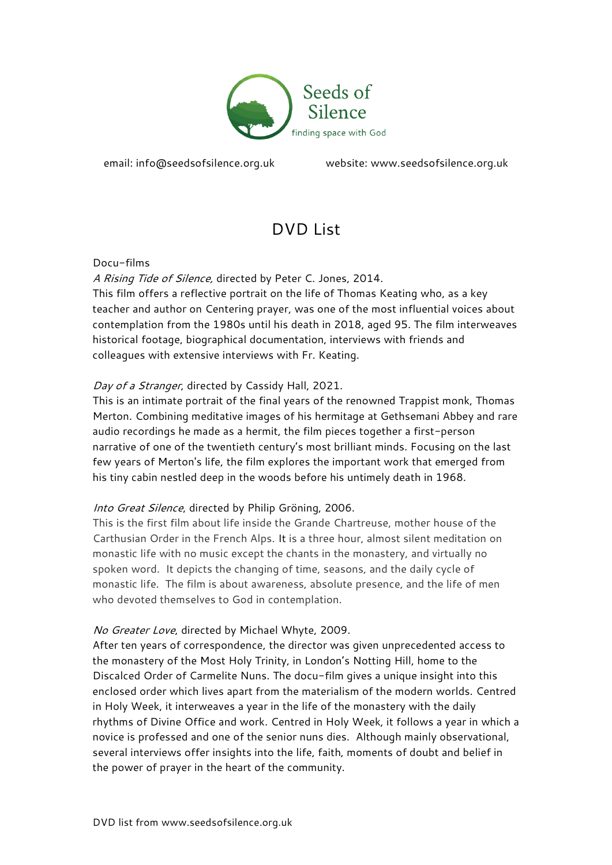

email: [info@seedsofsilence.org.uk](mailto:info@seedsofsilence.org.uk) website: [www.seedsofsilence.org.uk](http://www.seedsofsilence.org.uk/)

# DVD List

Docu-films

A Rising Tide of Silence, directed by Peter C. Jones, 2014.

This film offers a reflective portrait on the life of Thomas Keating who, as a key teacher and author on Centering prayer, was one of the most influential voices about contemplation from the 1980s until his death in 2018, aged 95. The film interweaves historical footage, biographical documentation, interviews with friends and colleagues with extensive interviews with Fr. Keating.

## Day of a Stranger, directed by Cassidy Hall, 2021.

This is an intimate portrait of the final years of the renowned Trappist monk, Thomas Merton. Combining meditative images of his hermitage at Gethsemani Abbey and rare audio recordings he made as a hermit, the film pieces together a first-person narrative of one of the twentieth century's most brilliant minds. Focusing on the last few years of Merton's life, the film explores the important work that emerged from his tiny cabin nestled deep in the woods before his untimely death in 1968.

# Into Great Silence, directed by Philip Gröning, 2006.

This is the first film about life inside the Grande Chartreuse, mother house of the Carthusian Order in the French Alps. It is a three hour, almost silent meditation on monastic life with no music except the chants in the monastery, and virtually no spoken word. It depicts the changing of time, seasons, and the daily cycle of monastic life. The film is about awareness, absolute presence, and the life of men who devoted themselves to God in contemplation.

### No Greater Love, directed by Michael Whyte, 2009.

After ten years of correspondence, the director was given unprecedented access to the monastery of the Most Holy Trinity, in London's Notting Hill, home to the Discalced Order of Carmelite Nuns. The docu-film gives a unique insight into this enclosed order which lives apart from the materialism of the modern worlds. Centred in Holy Week, it interweaves a year in the life of the monastery with the daily rhythms of Divine Office and work. Centred in Holy Week, it follows a year in which a novice is professed and one of the senior nuns dies. Although mainly observational, several interviews offer insights into the life, faith, moments of doubt and belief in the power of prayer in the heart of the community.